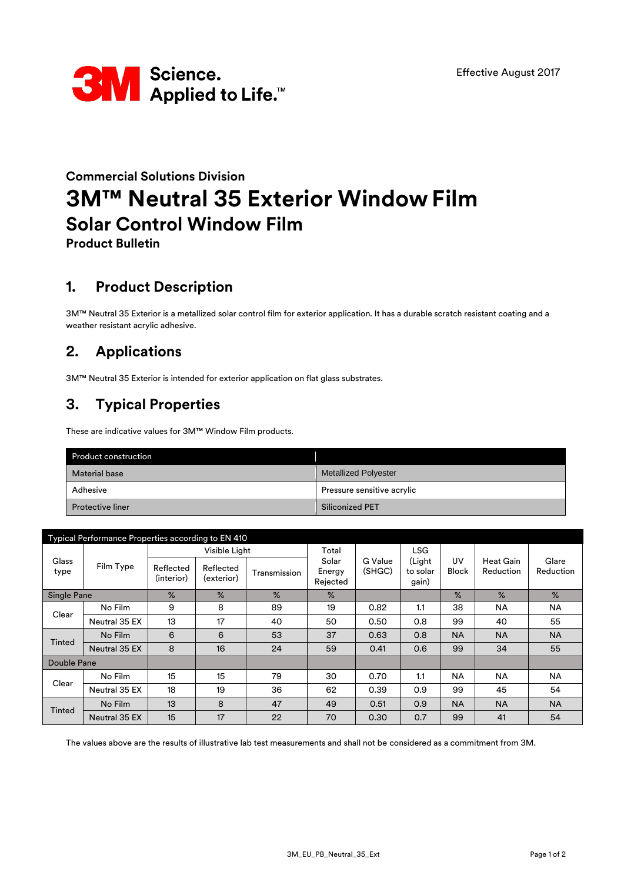

# **Commercial Solutions Division 3M™ Neutral 35 Exterior Window Film Solar Control Window Film**

**Product Bulletin**

### **1. Product Description**

3M™ Neutral 35 Exterior is a metallized solar control film for exterior application. It has a durable scratch resistant coating and a weather resistant acrylic adhesive.

## **2. Applications**

3M™ Neutral 35 Exterior is intended for exterior application on flat glass substrates.

## **3. Typical Properties**

These are indicative values for 3M™ Window Film products.

| <b>Product construction</b> |                             |  |  |  |
|-----------------------------|-----------------------------|--|--|--|
| <b>Material base</b>        | <b>Metallized Polyester</b> |  |  |  |
| Adhesive                    | Pressure sensitive acrylic  |  |  |  |
| <b>Protective liner</b>     | <b>Siliconized PET</b>      |  |  |  |

| Typical Performance Properties according to EN 410 |               |                         |                         |              |                             |                   |                             |               |                               |                    |
|----------------------------------------------------|---------------|-------------------------|-------------------------|--------------|-----------------------------|-------------------|-----------------------------|---------------|-------------------------------|--------------------|
| Glass<br>type                                      | Film Type     | Visible Light           |                         |              | Total                       |                   | <b>LSG</b>                  |               |                               |                    |
|                                                    |               | Reflected<br>(interior) | Reflected<br>(exterior) | Transmission | Solar<br>Energy<br>Rejected | G Value<br>(SHGC) | (Light<br>to solar<br>gain) | UV<br>Block   | <b>Heat Gain</b><br>Reduction | Glare<br>Reduction |
| Single Pane                                        |               | $\%$                    | $\%$                    | $\%$         | $\%$                        |                   |                             | $\frac{9}{6}$ | $\%$                          | $\%$               |
| Clear                                              | No Film       | 9                       | 8                       | 89           | 19                          | 0.82              | 1.1                         | 38            | <b>NA</b>                     | <b>NA</b>          |
|                                                    | Neutral 35 EX | 13                      | 17                      | 40           | 50                          | 0.50              | 0.8                         | 99            | 40                            | 55                 |
| Tinted                                             | No Film       | 6                       | 6                       | 53           | 37                          | 0.63              | 0.8                         | <b>NA</b>     | <b>NA</b>                     | <b>NA</b>          |
|                                                    | Neutral 35 EX | 8                       | 16                      | 24           | 59                          | 0.41              | 0.6                         | 99            | 34                            | 55                 |
| Double Pane                                        |               |                         |                         |              |                             |                   |                             |               |                               |                    |
| Clear                                              | No Film       | 15                      | 15                      | 79           | 30                          | 0.70              | 1.1                         | <b>NA</b>     | <b>NA</b>                     | <b>NA</b>          |
|                                                    | Neutral 35 EX | 18                      | 19                      | 36           | 62                          | 0.39              | 0.9                         | 99            | 45                            | 54                 |
| <b>Tinted</b>                                      | No Film       | 13                      | 8                       | 47           | 49                          | 0.51              | 0.9                         | <b>NA</b>     | <b>NA</b>                     | <b>NA</b>          |
|                                                    | Neutral 35 EX | 15                      | 17                      | 22           | 70                          | 0.30              | 0.7                         | 99            | 41                            | 54                 |

The values above are the results of illustrative lab test measurements and shall not be considered as a commitment from 3M.